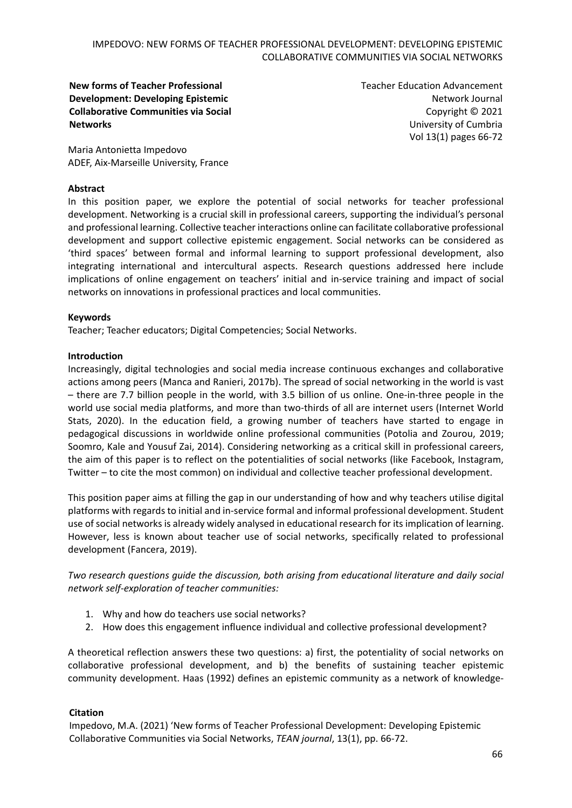**New forms of Teacher Professional Development: Developing Epistemic Collaborative Communities via Social Networks**

Teacher Education Advancement Network Journal Copyright © 2021 University of Cumbria Vol 13(1) pages 66-72

Maria Antonietta Impedovo ADEF, Aix-Marseille University, France

### **Abstract**

In this position paper, we explore the potential of social networks for teacher professional development. Networking is a crucial skill in professional careers, supporting the individual's personal and professional learning. Collective teacher interactions online can facilitate collaborative professional development and support collective epistemic engagement. Social networks can be considered as 'third spaces' between formal and informal learning to support professional development, also integrating international and intercultural aspects. Research questions addressed here include implications of online engagement on teachers' initial and in-service training and impact of social networks on innovations in professional practices and local communities.

#### **Keywords**

Teacher; Teacher educators; Digital Competencies; Social Networks.

#### **Introduction**

Increasingly, digital technologies and social media increase continuous exchanges and collaborative actions among peers (Manca and Ranieri, 2017b). The spread of social networking in the world is vast – there are 7.7 billion people in the world, with 3.5 billion of us online. One-in-three people in the world use social media platforms, and more than two-thirds of all are internet users (Internet World Stats, 2020). In the education field, a growing number of teachers have started to engage in pedagogical discussions in worldwide online professional communities (Potolia and Zourou, 2019; Soomro, Kale and Yousuf Zai, 2014). Considering networking as a critical skill in professional careers, the aim of this paper is to reflect on the potentialities of social networks (like Facebook, Instagram, Twitter – to cite the most common) on individual and collective teacher professional development.

This position paper aims at filling the gap in our understanding of how and why teachers utilise digital platforms with regards to initial and in-service formal and informal professional development. Student use of social networks is already widely analysed in educational research for its implication of learning. However, less is known about teacher use of social networks, specifically related to professional development (Fancera, 2019).

*Two research questions guide the discussion, both arising from educational literature and daily social network self-exploration of teacher communities:* 

- 1. Why and how do teachers use social networks?
- 2. How does this engagement influence individual and collective professional development?

A theoretical reflection answers these two questions: a) first, the potentiality of social networks on collaborative professional development, and b) the benefits of sustaining teacher epistemic community development. Haas (1992) defines an epistemic community as a network of knowledge-

#### **Citation**

Impedovo, M.A. (2021) 'New forms of Teacher Professional Development: Developing Epistemic Collaborative Communities via Social Networks, *TEAN journal*, 13(1), pp. 66-72.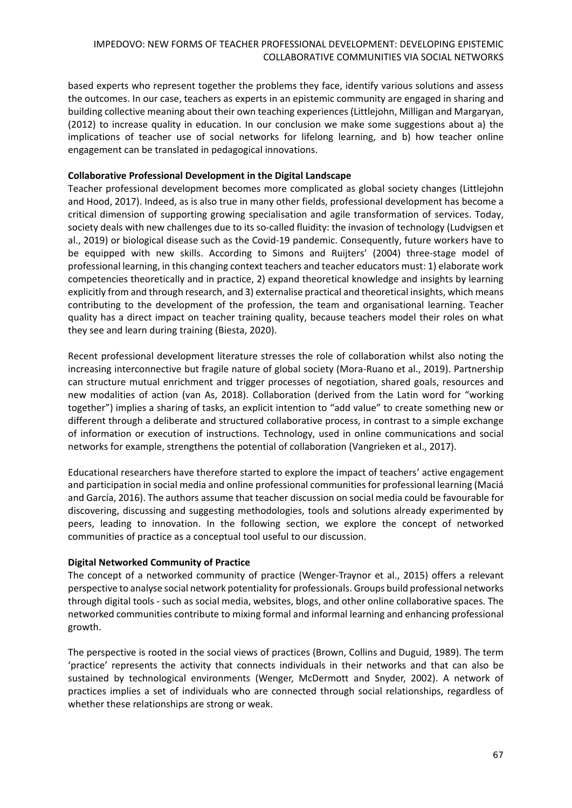based experts who represent together the problems they face, identify various solutions and assess the outcomes. In our case, teachers as experts in an epistemic community are engaged in sharing and building collective meaning about their own teaching experiences (Littlejohn, Milligan and Margaryan, (2012) to increase quality in education. In our conclusion we make some suggestions about a) the implications of teacher use of social networks for lifelong learning, and b) how teacher online engagement can be translated in pedagogical innovations.

## **Collaborative Professional Development in the Digital Landscape**

Teacher professional development becomes more complicated as global society changes (Littlejohn and Hood, 2017). Indeed, as is also true in many other fields, professional development has become a critical dimension of supporting growing specialisation and agile transformation of services. Today, society deals with new challenges due to its so-called fluidity: the invasion of technology (Ludvigsen et al., 2019) or biological disease such as the Covid-19 pandemic. Consequently, future workers have to be equipped with new skills. According to Simons and Ruijters' (2004) three-stage model of professional learning, in this changing context teachers and teacher educators must: 1) elaborate work competencies theoretically and in practice, 2) expand theoretical knowledge and insights by learning explicitly from and through research, and 3) externalise practical and theoretical insights, which means contributing to the development of the profession, the team and organisational learning. Teacher quality has a direct impact on teacher training quality, because teachers model their roles on what they see and learn during training (Biesta, 2020).

Recent professional development literature stresses the role of collaboration whilst also noting the increasing interconnective but fragile nature of global society (Mora-Ruano et al., 2019). Partnership can structure mutual enrichment and trigger processes of negotiation, shared goals, resources and new modalities of action (van As, 2018). Collaboration (derived from the Latin word for "working together") implies a sharing of tasks, an explicit intention to "add value" to create something new or different through a deliberate and structured collaborative process, in contrast to a simple exchange of information or execution of instructions. Technology, used in online communications and social networks for example, strengthens the potential of collaboration (Vangrieken et al., 2017).

Educational researchers have therefore started to explore the impact of teachers' active engagement and participation in social media and online professional communities for professional learning (Maciá and García, 2016). The authors assume that teacher discussion on social media could be favourable for discovering, discussing and suggesting methodologies, tools and solutions already experimented by peers, leading to innovation. In the following section, we explore the concept of networked communities of practice as a conceptual tool useful to our discussion.

# **Digital Networked Community of Practice**

The concept of a networked community of practice (Wenger-Traynor et al., 2015) offers a relevant perspective to analyse social network potentiality for professionals. Groups build professional networks through digital tools - such as social media, websites, blogs, and other online collaborative spaces. The networked communities contribute to mixing formal and informal learning and enhancing professional growth.

The perspective is rooted in the social views of practices (Brown, Collins and Duguid, 1989). The term 'practice' represents the activity that connects individuals in their networks and that can also be sustained by technological environments (Wenger, McDermott and Snyder, 2002). A network of practices implies a set of individuals who are connected through social relationships, regardless of whether these relationships are strong or weak.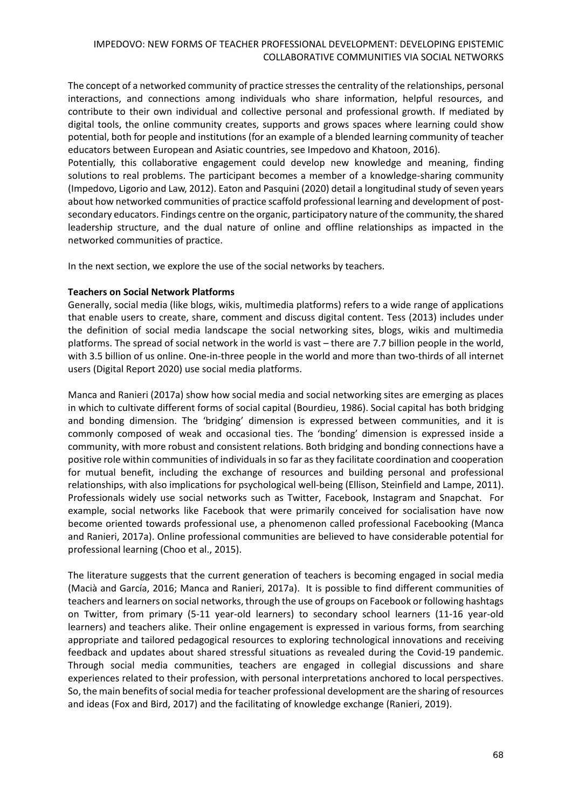The concept of a networked community of practice stresses the centrality of the relationships, personal interactions, and connections among individuals who share information, helpful resources, and contribute to their own individual and collective personal and professional growth. If mediated by digital tools, the online community creates, supports and grows spaces where learning could show potential, both for people and institutions (for an example of a blended learning community of teacher educators between European and Asiatic countries, see Impedovo and Khatoon, 2016).

Potentially, this collaborative engagement could develop new knowledge and meaning, finding solutions to real problems. The participant becomes a member of a knowledge-sharing community (Impedovo, Ligorio and Law, 2012). Eaton and Pasquini (2020) detail a longitudinal study of seven years about how networked communities of practice scaffold professional learning and development of postsecondary educators. Findings centre on the organic, participatory nature of the community, the shared leadership structure, and the dual nature of online and offline relationships as impacted in the networked communities of practice.

In the next section, we explore the use of the social networks by teachers.

### **Teachers on Social Network Platforms**

Generally, social media (like blogs, wikis, multimedia platforms) refers to a wide range of applications that enable users to create, share, comment and discuss digital content. Tess (2013) includes under the definition of social media landscape the social networking sites, blogs, wikis and multimedia platforms. The spread of social network in the world is vast – there are 7.7 billion people in the world, with 3.5 billion of us online. One-in-three people in the world and more than two-thirds of all internet users (Digital Report 2020) use social media platforms.

Manca and Ranieri (2017a) show how social media and social networking sites are emerging as places in which to cultivate different forms of social capital (Bourdieu, 1986). Social capital has both bridging and bonding dimension. The 'bridging' dimension is expressed between communities, and it is commonly composed of weak and occasional ties. The 'bonding' dimension is expressed inside a community, with more robust and consistent relations. Both bridging and bonding connections have a positive role within communities of individuals in so far as they facilitate coordination and cooperation for mutual benefit, including the exchange of resources and building personal and professional relationships, with also implications for psychological well-being (Ellison, Steinfield and Lampe, 2011). Professionals widely use social networks such as Twitter, Facebook, Instagram and Snapchat. For example, social networks like Facebook that were primarily conceived for socialisation have now become oriented towards professional use, a phenomenon called professional Facebooking (Manca and Ranieri, 2017a). Online professional communities are believed to have considerable potential for professional learning (Choo et al., 2015).

The literature suggests that the current generation of teachers is becoming engaged in social media (Macià and García, 2016; Manca and Ranieri, 2017a). It is possible to find different communities of teachers and learners on social networks, through the use of groups on Facebook or following hashtags on Twitter, from primary (5-11 year-old learners) to secondary school learners (11-16 year-old learners) and teachers alike. Their online engagement is expressed in various forms, from searching appropriate and tailored pedagogical resources to exploring technological innovations and receiving feedback and updates about shared stressful situations as revealed during the Covid-19 pandemic. Through social media communities, teachers are engaged in collegial discussions and share experiences related to their profession, with personal interpretations anchored to local perspectives. So, the main benefits of social media for teacher professional development are the sharing of resources and ideas (Fox and Bird, 2017) and the facilitating of knowledge exchange (Ranieri, 2019).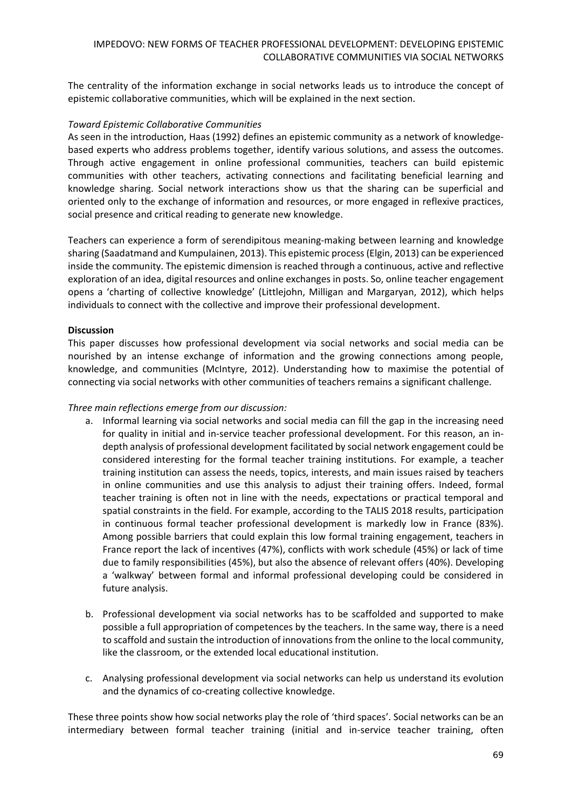The centrality of the information exchange in social networks leads us to introduce the concept of epistemic collaborative communities, which will be explained in the next section.

## *Toward Epistemic Collaborative Communities*

As seen in the introduction, Haas (1992) defines an epistemic community as a network of knowledgebased experts who address problems together, identify various solutions, and assess the outcomes. Through active engagement in online professional communities, teachers can build epistemic communities with other teachers, activating connections and facilitating beneficial learning and knowledge sharing. Social network interactions show us that the sharing can be superficial and oriented only to the exchange of information and resources, or more engaged in reflexive practices, social presence and critical reading to generate new knowledge.

Teachers can experience a form of serendipitous meaning-making between learning and knowledge sharing (Saadatmand and Kumpulainen, 2013). This epistemic process(Elgin, 2013) can be experienced inside the community. The epistemic dimension is reached through a continuous, active and reflective exploration of an idea, digital resources and online exchanges in posts. So, online teacher engagement opens a 'charting of collective knowledge' (Littlejohn, Milligan and Margaryan, 2012), which helps individuals to connect with the collective and improve their professional development.

### **Discussion**

This paper discusses how professional development via social networks and social media can be nourished by an intense exchange of information and the growing connections among people, knowledge, and communities (McIntyre, 2012). Understanding how to maximise the potential of connecting via social networks with other communities of teachers remains a significant challenge.

## *Three main reflections emerge from our discussion:*

- a. Informal learning via social networks and social media can fill the gap in the increasing need for quality in initial and in-service teacher professional development. For this reason, an indepth analysis of professional development facilitated by social network engagement could be considered interesting for the formal teacher training institutions. For example, a teacher training institution can assess the needs, topics, interests, and main issues raised by teachers in online communities and use this analysis to adjust their training offers. Indeed, formal teacher training is often not in line with the needs, expectations or practical temporal and spatial constraints in the field. For example, according to the TALIS 2018 results, participation in continuous formal teacher professional development is markedly low in France (83%). Among possible barriers that could explain this low formal training engagement, teachers in France report the lack of incentives (47%), conflicts with work schedule (45%) or lack of time due to family responsibilities (45%), but also the absence of relevant offers (40%). Developing a 'walkway' between formal and informal professional developing could be considered in future analysis.
- b. Professional development via social networks has to be scaffolded and supported to make possible a full appropriation of competences by the teachers. In the same way, there is a need to scaffold and sustain the introduction of innovations from the online to the local community, like the classroom, or the extended local educational institution.
- c. Analysing professional development via social networks can help us understand its evolution and the dynamics of co-creating collective knowledge.

These three points show how social networks play the role of 'third spaces'. Social networks can be an intermediary between formal teacher training (initial and in-service teacher training, often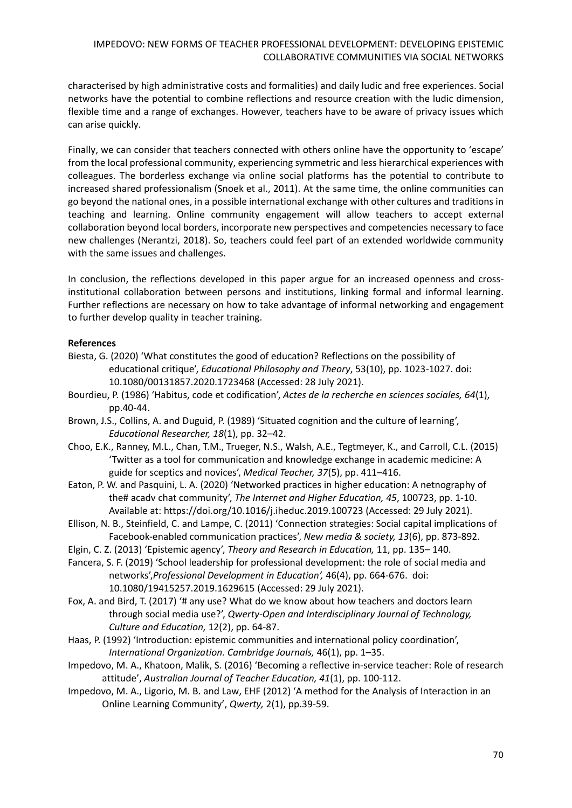characterised by high administrative costs and formalities) and daily ludic and free experiences. Social networks have the potential to combine reflections and resource creation with the ludic dimension, flexible time and a range of exchanges. However, teachers have to be aware of privacy issues which can arise quickly.

Finally, we can consider that teachers connected with others online have the opportunity to 'escape' from the local professional community, experiencing symmetric and less hierarchical experiences with colleagues. The borderless exchange via online social platforms has the potential to contribute to increased shared professionalism (Snoek et al., 2011). At the same time, the online communities can go beyond the national ones, in a possible international exchange with other cultures and traditions in teaching and learning. Online community engagement will allow teachers to accept external collaboration beyond local borders, incorporate new perspectives and competencies necessary to face new challenges (Nerantzi, 2018). So, teachers could feel part of an extended worldwide community with the same issues and challenges.

In conclusion, the reflections developed in this paper argue for an increased openness and crossinstitutional collaboration between persons and institutions, linking formal and informal learning. Further reflections are necessary on how to take advantage of informal networking and engagement to further develop quality in teacher training.

### **References**

- Biesta, G. (2020) 'What constitutes the good of education? Reflections on the possibility of educational critique', *Educational Philosophy and Theory*, 53(10), pp. 1023-1027. doi: 10.1080/00131857.2020.1723468 (Accessed: 28 July 2021).
- Bourdieu, P. (1986) 'Habitus, code et codification', *Actes de la recherche en sciences sociales, 64*(1), pp.40-44.
- Brown, J.S., Collins, A. and Duguid, P. (1989) 'Situated cognition and the culture of learning', *Educational Researcher, 18*(1), pp. 32–42.
- Choo, E.K., Ranney, M.L., Chan, T.M., Trueger, N.S., Walsh, A.E., Tegtmeyer, K., and Carroll, C.L. (2015) 'Twitter as a tool for communication and knowledge exchange in academic medicine: A guide for sceptics and novices', *Medical Teacher, 37*(5), pp. 411–416.
- Eaton, P. W. and Pasquini, L. A. (2020) 'Networked practices in higher education: A netnography of the# acadv chat community', *The Internet and Higher Education, 45*, 100723, pp. 1-10. Available at:<https://doi.org/10.1016/j.iheduc.2019.100723> (Accessed: 29 July 2021).
- Ellison, N. B., Steinfield, C. and Lampe, C. (2011) 'Connection strategies: Social capital implications of Facebook-enabled communication practices', *New media & society, 13*(6), pp. 873-892.
- Elgin, C. Z. (2013) 'Epistemic agency', *Theory and Research in Education,* 11, pp. 135– 140.
- Fancera, S. F. (2019) 'School leadership for professional development: the role of social media and networks',*Professional Development in Education',* 46(4), pp. 664-676. doi: 10.1080/19415257.2019.1629615 (Accessed: 29 July 2021).
- Fox, A. and Bird, T. (2017) '# any use? What do we know about how teachers and doctors learn through social media use?', *Qwerty-Open and Interdisciplinary Journal of Technology, Culture and Education,* 12(2), pp. 64-87.
- Haas, P. (1992) 'Introduction: epistemic communities and international policy coordination', *International Organization. Cambridge Journals,* 46(1), pp. 1–35.
- Impedovo, M. A., Khatoon, Malik, S. (2016) 'Becoming a reflective in-service teacher: Role of research attitude', *Australian Journal of Teacher Education, 41*(1), pp. 100-112.
- Impedovo, M. A., Ligorio, M. B. and Law, EHF (2012) 'A method for the Analysis of Interaction in an Online Learning Community', *Qwerty,* 2(1), pp.39-59.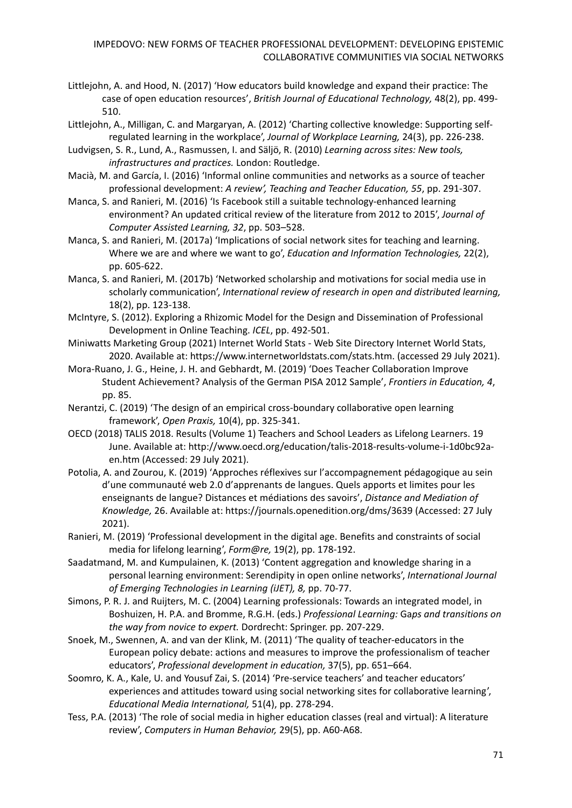- Littlejohn, A. and Hood, N. (2017) 'How educators build knowledge and expand their practice: The case of open education resources', *British Journal of Educational Technology,* 48(2), pp. 499- 510.
- Littlejohn, A., Milligan, C. and Margaryan, A. (2012) 'Charting collective knowledge: Supporting selfregulated learning in the workplace', *Journal of Workplace Learning,* 24(3), pp. 226-238.
- Ludvigsen, S. R., Lund, A., Rasmussen, I. and Säljö, R. (2010) *Learning across sites: New tools, infrastructures and practices.* London: Routledge.
- Macià, M. and García, I. (2016) 'Informal online communities and networks as a source of teacher professional development: *A review', Teaching and Teacher Education, 55*, pp. 291-307.
- Manca, S. and Ranieri, M. (2016) 'Is Facebook still a suitable technology-enhanced learning environment? An updated critical review of the literature from 2012 to 2015', *Journal of Computer Assisted Learning, 32*, pp. 503–528.
- Manca, S. and Ranieri, M. (2017a) 'Implications of social network sites for teaching and learning. Where we are and where we want to go', *Education and Information Technologies,* 22(2), pp. 605-622.
- Manca, S. and Ranieri, M. (2017b) 'Networked scholarship and motivations for social media use in scholarly communication', *International review of research in open and distributed learning,*  18(2), pp. 123-138.
- McIntyre, S. (2012). Exploring a Rhizomic Model for the Design and Dissemination of Professional Development in Online Teaching. *ICEL*, pp. 492-501.
- Miniwatts Marketing Group (2021) Internet World Stats Web Site Directory Internet World Stats, 2020. Available at: https://www.internetworldstats.com/stats.htm. (accessed 29 July 2021).
- Mora-Ruano, J. G., Heine, J. H. and Gebhardt, M. (2019) 'Does Teacher Collaboration Improve Student Achievement? Analysis of the German PISA 2012 Sample', *Frontiers in Education, 4*, pp. 85.
- Nerantzi, C. (2019) 'The design of an empirical cross-boundary collaborative open learning framework', *Open Praxis,* 10(4), pp. 325-341.
- OECD (2018) TALIS 2018. Results (Volume 1) Teachers and School Leaders as Lifelong Learners. 19 June. Available at: http://www.oecd.org/education/talis-2018-results-volume-i-1d0bc92aen.htm (Accessed: 29 July 2021).
- Potolia, A. and Zourou, K. (2019) 'Approches réflexives sur l'accompagnement pédagogique au sein d'une communauté web 2.0 d'apprenants de langues. Quels apports et limites pour les enseignants de langue? Distances et médiations des savoirs', *Distance and Mediation of Knowledge,* 26. Available at[: https://journals.openedition.org/dms/3639](https://journals.openedition.org/dms/3639) (Accessed: 27 July 2021).
- Ranieri, M. (2019) 'Professional development in the digital age. Benefits and constraints of social media for lifelong learning', *Form@re,* 19(2), pp. 178-192.
- Saadatmand, M. and Kumpulainen, K. (2013) 'Content aggregation and knowledge sharing in a personal learning environment: Serendipity in open online networks', *International Journal of Emerging Technologies in Learning (iJET), 8,* pp. 70-77.
- Simons, P. R. J. and Ruijters, M. C. (2004) Learning professionals: Towards an integrated model, in Boshuizen, H. P.A. and Bromme, R.G.H. (eds.) *Professional Learning:* Ga*ps and transitions on the way from novice to expert.* Dordrecht: Springer. pp. 207-229.
- Snoek, M., Swennen, A. and van der Klink, M. (2011) 'The quality of teacher-educators in the European policy debate: actions and measures to improve the professionalism of teacher educators', *Professional development in education,* 37(5), pp. 651–664.
- Soomro, K. A., Kale, U. and Yousuf Zai, S. (2014) 'Pre-service teachers' and teacher educators' experiences and attitudes toward using social networking sites for collaborative learning', *Educational Media International,* 51(4), pp. 278-294.
- Tess, P.A. (2013) 'The role of social media in higher education classes (real and virtual): A literature review', *Computers in Human Behavior,* 29(5), pp. A60-A68.